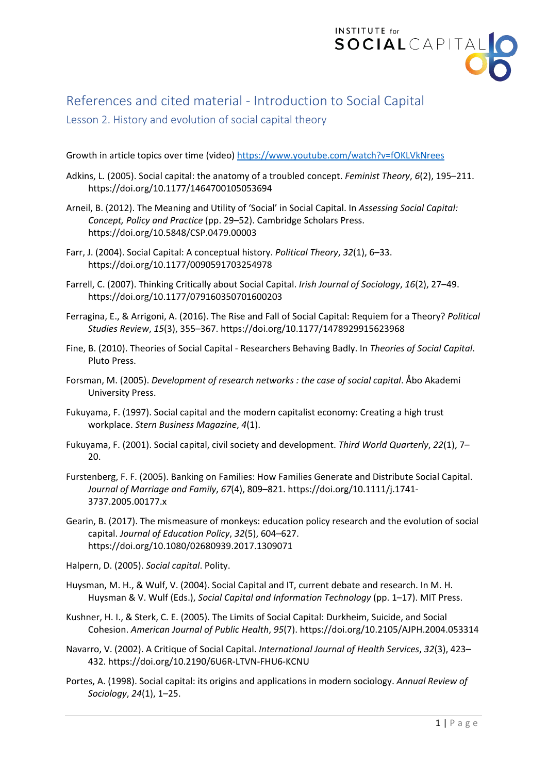

## References and cited material - Introduction to Social Capital

## Lesson 2. History and evolution of social capital theory

Growth in article topics over time (video) <https://www.youtube.com/watch?v=fOKLVkNrees>

- Adkins, L. (2005). Social capital: the anatomy of a troubled concept. *Feminist Theory*, *6*(2), 195–211. https://doi.org/10.1177/1464700105053694
- Arneil, B. (2012). The Meaning and Utility of 'Social' in Social Capital. In *Assessing Social Capital: Concept, Policy and Practice* (pp. 29–52). Cambridge Scholars Press. https://doi.org/10.5848/CSP.0479.00003
- Farr, J. (2004). Social Capital: A conceptual history. *Political Theory*, *32*(1), 6–33. https://doi.org/10.1177/0090591703254978
- Farrell, C. (2007). Thinking Critically about Social Capital. *Irish Journal of Sociology*, *16*(2), 27–49. https://doi.org/10.1177/079160350701600203
- Ferragina, E., & Arrigoni, A. (2016). The Rise and Fall of Social Capital: Requiem for a Theory? *Political Studies Review*, *15*(3), 355–367. https://doi.org/10.1177/1478929915623968
- Fine, B. (2010). Theories of Social Capital Researchers Behaving Badly. In *Theories of Social Capital*. Pluto Press.
- Forsman, M. (2005). *Development of research networks : the case of social capital*. Åbo Akademi University Press.
- Fukuyama, F. (1997). Social capital and the modern capitalist economy: Creating a high trust workplace. *Stern Business Magazine*, *4*(1).
- Fukuyama, F. (2001). Social capital, civil society and development. *Third World Quarterly*, *22*(1), 7– 20.
- Furstenberg, F. F. (2005). Banking on Families: How Families Generate and Distribute Social Capital. *Journal of Marriage and Family*, *67*(4), 809–821. https://doi.org/10.1111/j.1741- 3737.2005.00177.x
- Gearin, B. (2017). The mismeasure of monkeys: education policy research and the evolution of social capital. *Journal of Education Policy*, *32*(5), 604–627. https://doi.org/10.1080/02680939.2017.1309071
- Halpern, D. (2005). *Social capital*. Polity.
- Huysman, M. H., & Wulf, V. (2004). Social Capital and IT, current debate and research. In M. H. Huysman & V. Wulf (Eds.), *Social Capital and Information Technology* (pp. 1–17). MIT Press.
- Kushner, H. I., & Sterk, C. E. (2005). The Limits of Social Capital: Durkheim, Suicide, and Social Cohesion. *American Journal of Public Health*, *95*(7). https://doi.org/10.2105/AJPH.2004.053314
- Navarro, V. (2002). A Critique of Social Capital. *International Journal of Health Services*, *32*(3), 423– 432. https://doi.org/10.2190/6U6R-LTVN-FHU6-KCNU
- Portes, A. (1998). Social capital: its origins and applications in modern sociology. *Annual Review of Sociology*, *24*(1), 1–25.